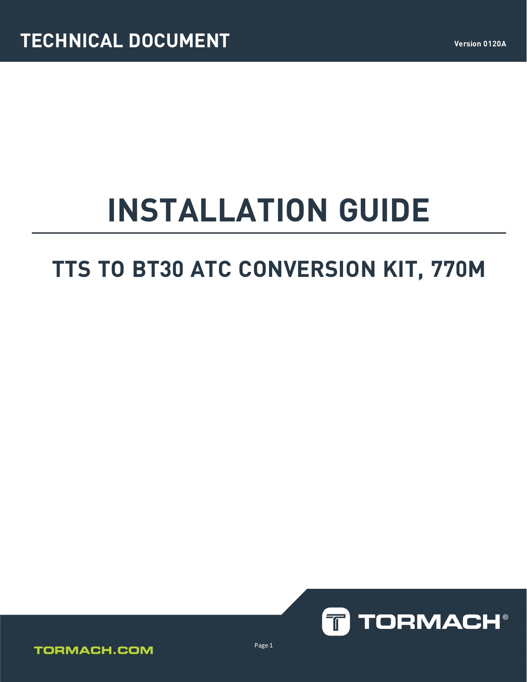# **INSTALLATION GUIDE**

# **TTS TO BT30 ATC CONVERSION KIT, 770M**



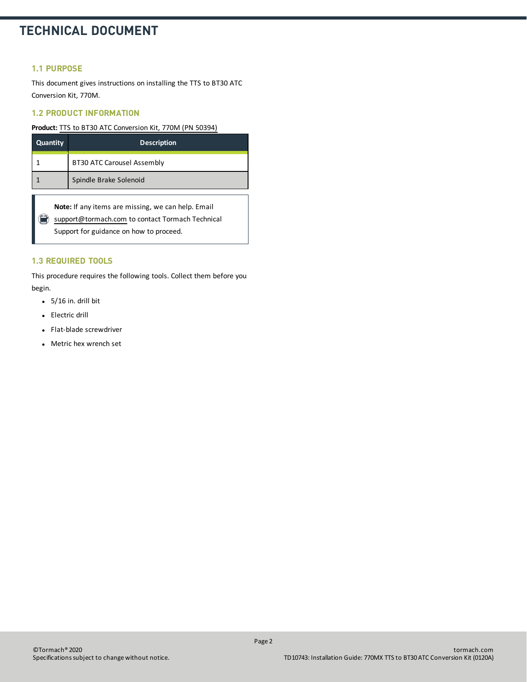#### **1.1 PURPOSE**

This document gives instructions on installing the TTS to BT30 ATC Conversion Kit, 770M.

#### **1.2 PRODUCT INFORMATION**

**Product:** TTS to BT30 ATC Conversion Kit, 770M [\(PN 50394\)](https://www.tormach.com/part/50394)

| Quantity | <b>Description</b>                |
|----------|-----------------------------------|
|          | <b>BT30 ATC Carousel Assembly</b> |
|          | Spindle Brake Solenoid            |

**Note:** If any items are missing, we can help. Email [support@tormach.com](mailto:support@tormach.com) to contact Tormach Technical Support for guidance on how to proceed.

#### **1.3 REQUIRED TOOLS**

This procedure requires the following tools. Collect them before you begin.

- $\bullet$  5/16 in. drill bit
- Electric drill
- Flat-blade screwdriver
- Metric hex wrench set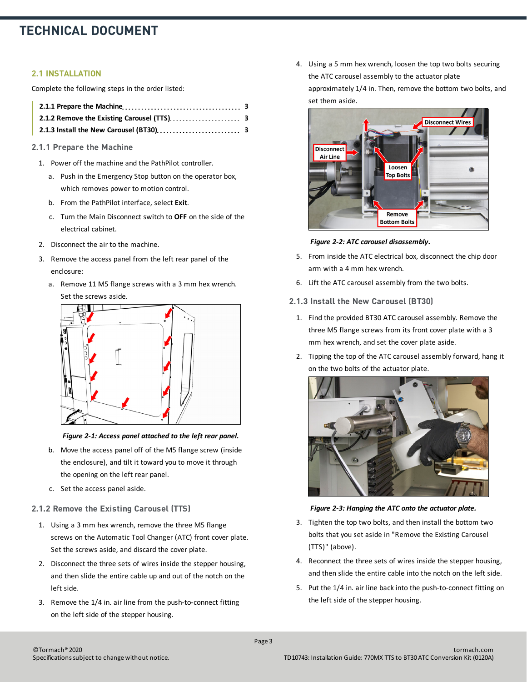#### **2.1 INSTALLATION**

Complete the following steps in the order listed:

#### <span id="page-2-0"></span>**2.1.1 Prepare the Machine**

- 1. Power off the machine and the PathPilot controller.
	- a. Push in the Emergency Stop button on the operator box, which removes power to motion control.
	- b. From the PathPilot interface, select **Exit**.
	- c. Turn the Main Disconnect switch to **OFF** on the side of the electrical cabinet.
- 2. Disconnect the air to the machine.
- 3. Remove the access panel from the left rear panel of the enclosure:
	- a. Remove 11 M5 flange screws with a 3 mm hex wrench. Set the screws aside.



#### *Figure 2-1: Access panel attached to the left rear panel.*

- b. Move the access panel off of the M5 flange screw (inside the enclosure), and tilt it toward you to move it through the opening on the left rear panel.
- c. Set the access panel aside.

#### <span id="page-2-1"></span>**2.1.2 Remove the Existing Carousel (TTS)**

- 1. Using a 3 mm hex wrench, remove the three M5 flange screws on the Automatic Tool Changer (ATC) front cover plate. Set the screws aside, and discard the cover plate.
- 2. Disconnect the three sets of wires inside the stepper housing, and then slide the entire cable up and out of the notch on the left side.
- 3. Remove the 1/4 in. air line from the push-to-connect fitting on the left side of the stepper housing.

4. Using a 5 mm hex wrench, loosen the top two bolts securing the ATC carousel assembly to the actuator plate approximately 1/4 in. Then, remove the bottom two bolts, and set them aside.



*Figure 2-2: ATC carousel disassembly.*

- 5. From inside the ATC electrical box, disconnect the chip door arm with a 4 mm hex wrench.
- <span id="page-2-2"></span>6. Lift the ATC carousel assembly from the two bolts.
- **2.1.3 Install the New Carousel (BT30)**
	- 1. Find the provided BT30 ATC carousel assembly. Remove the three M5 flange screws from its front cover plate with a 3 mm hex wrench, and set the cover plate aside.
	- 2. Tipping the top of the ATC carousel assembly forward, hang it on the two bolts of the actuator plate.



*Figure 2-3: Hanging the ATC onto the actuator plate.*

- 3. Tighten the top two bolts, and then install the bottom two bolts that you set asidein ["Remove the Existing Carousel](#page-2-1) [\(TTS\)" \(above\).](#page-2-1)
- 4. Reconnect the three sets of wires inside the stepper housing, and then slide the entire cable into the notch on the left side.
- 5. Put the 1/4 in. air line back into the push-to-connect fitting on the left side of the stepper housing.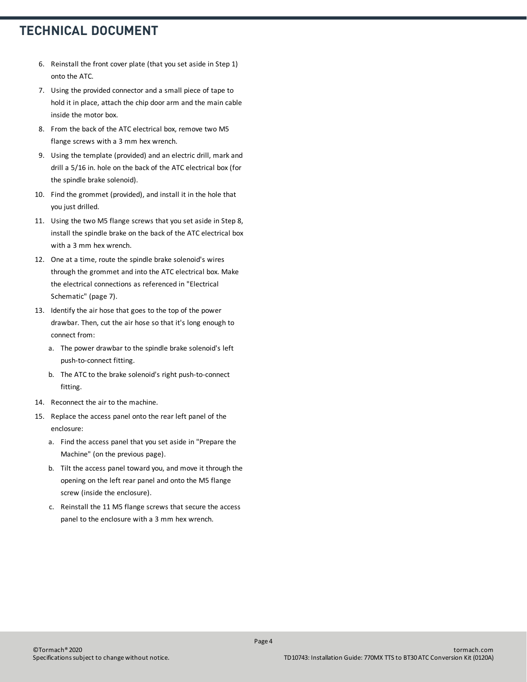- 6. Reinstall the front cover plate (that you set aside in Step 1) onto the ATC.
- 7. Using the provided connector and a small piece of tape to hold it in place, attach the chip door arm and the main cable inside the motor box.
- 8. From the back of the ATC electrical box, remove two M5 flange screws with a 3 mm hex wrench.
- 9. Using the template (provided) and an electric drill, mark and drill a 5/16 in. hole on the back of the ATC electrical box (for the spindle brake solenoid).
- 10. Find the grommet (provided), and install it in the hole that you just drilled.
- 11. Using the two M5 flange screws that you set aside in Step 8, install the spindle brake on the back of the ATC electrical box with a 3 mm hex wrench.
- 12. One at a time, route the spindle brake solenoid's wires through the grommet and into the ATC electrical box. Make the electrical connections as referencedin ["Electrical](#page-6-0) [Schematic" \(page 7\)](#page-6-0).
- 13. Identify the air hose that goes to the top of the power drawbar. Then, cut the air hose so that it's long enough to connect from:
	- a. The power drawbar to the spindle brake solenoid's left push-to-connect fitting.
	- b. The ATC to the brake solenoid's right push-to-connect fitting.
- 14. Reconnect the air to the machine.
- 15. Replace the access panel onto the rear left panel of the enclosure:
	- a. Find the access panel that you set asidein ["Prepare the](#page-2-0) [Machine" \(on the previous page\)](#page-2-0).
	- b. Tilt the access panel toward you, and move it through the opening on the left rear panel and onto the M5 flange screw (inside the enclosure).
	- c. Reinstall the 11 M5 flange screws that secure the access panel to the enclosure with a 3 mm hex wrench.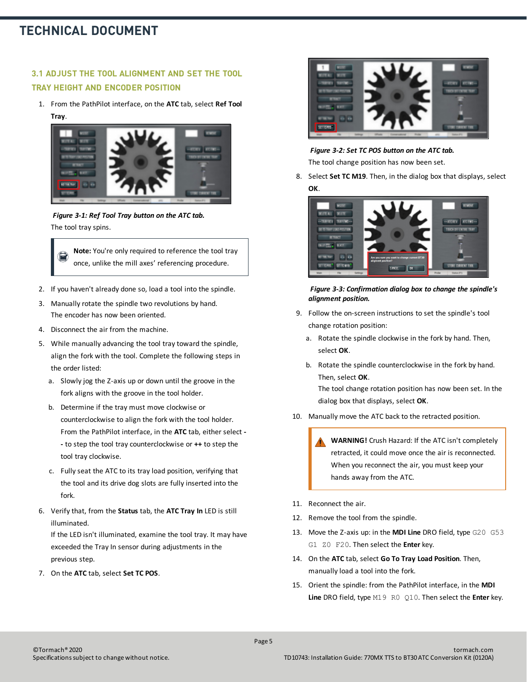#### **3.1 ADJUST THE TOOL ALIGNMENT AND SET THE TOOL TRAY HEIGHT AND ENCODER POSITION**

1. From the PathPilot interface, on the **ATC** tab, select **Ref Tool Tray**.



*Figure 3-1: Ref Tool Tray button on the ATC tab.* The tool tray spins.

**Note:** You're only required to reference the tool tray once, unlike the mill axes' referencing procedure.

- 2. If you haven't already done so, load a tool into the spindle.
- 3. Manually rotate the spindle two revolutions by hand. The encoder has now been oriented.
- 4. Disconnect the air from the machine.
- 5. While manually advancing the tool tray toward the spindle, align the fork with the tool. Complete the following steps in the order listed:
	- a. Slowly jog the Z-axis up or down until the groove in the fork aligns with the groove in the tool holder.
	- b. Determine if the tray must move clockwise or counterclockwise to align the fork with the tool holder. From the PathPilot interface, in the **ATC** tab, either select **- -** to step the tool tray counterclockwise or **++** to step the tool tray clockwise.
	- c. Fully seat the ATC to its tray load position, verifying that the tool and its drive dog slots are fully inserted into the fork.
- 6. Verify that, from the **Status** tab, the **ATC Tray In** LED is still illuminated.

If the LED isn't illuminated, examine the tool tray. It may have exceeded the Tray In sensor during adjustments in the previous step.

7. On the **ATC** tab, select **Set TC POS**.



*Figure 3-2: Set TC POS button on the ATC tab.* The tool change position has now been set.

8. Select **Set TC M19**. Then, in the dialog box that displays, select **OK**.



*Figure 3-3: Confirmation dialog box to change the spindle's alignment position.*

- 9. Follow the on-screen instructions to set the spindle's tool change rotation position:
	- a. Rotate the spindle clockwise in the fork by hand. Then, select **OK**.
	- b. Rotate the spindle counterclockwise in the fork by hand. Then, select **OK**.

The tool change rotation position has now been set. In the dialog box that displays, select **OK**.

10. Manually move the ATC back to the retracted position.

**WARNING!** Crush Hazard: If the ATC isn't completely retracted, it could move once the air is reconnected. When you reconnect the air, you must keep your hands away from the ATC.

- 11. Reconnect the air.
- 12. Remove the tool from the spindle.
- 13. Move the Z-axis up: in the **MDI Line** DRO field, type G20 G53 G1 Z0 F20. Then select the **Enter** key.
- 14. On the **ATC** tab, select **Go To Tray Load Position**. Then, manually load a tool into the fork.
- 15. Orient the spindle: from the PathPilot interface, in the **MDI Line** DRO field, type M19 R0 Q10. Then select the **Enter** key.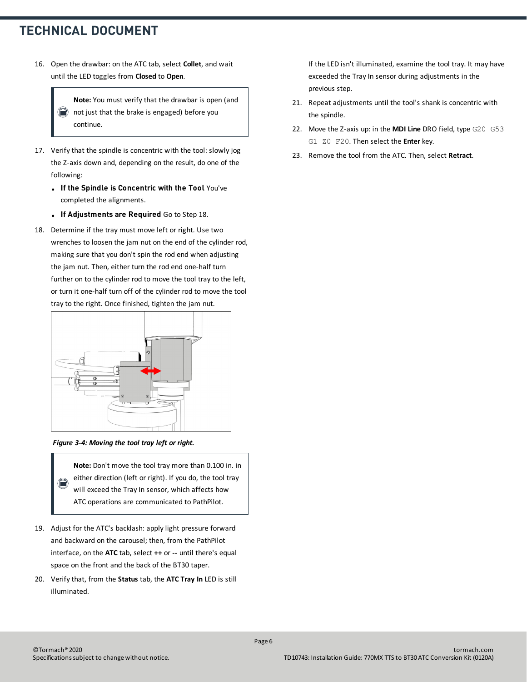16. Open the drawbar: on the ATC tab, select **Collet**, and wait until the LED toggles from **Closed** to **Open**.

> **Note:** You must verify that the drawbar is open (and not just that the brake is engaged) before you continue.

- 17. Verify that the spindle is concentric with the tool: slowly jog the Z-axis down and, depending on the result, do one of the following:
	- **.** If the Spindle is Concentric with the Tool You've completed the alignments.
	- **.** If Adjustments are Required Go to Step 18.
- 18. Determine if the tray must move left or right. Use two wrenches to loosen the jam nut on the end of the cylinder rod, making sure that you don't spin the rod end when adjusting the jam nut. Then, either turn the rod end one-half turn further on to the cylinder rod to move the tool tray to the left, or turn it one-half turn off of the cylinder rod to move the tool tray to the right. Once finished, tighten the jam nut.



#### *Figure 3-4: Moving the tool tray left or right.*

**Note:** Don't move the tool tray more than 0.100 in. in either direction (left or right). If you do, the tool tray  $\circledR$ will exceed the Tray In sensor, which affects how ATC operations are communicated to PathPilot.

- 19. Adjust for the ATC's backlash: apply light pressure forward and backward on the carousel; then, from the PathPilot interface, on the **ATC** tab, select **++** or **--** until there's equal space on the front and the back of the BT30 taper.
- 20. Verify that, from the **Status** tab, the **ATC Tray In** LED is still illuminated.

If the LED isn't illuminated, examine the tool tray. It may have exceeded the Tray In sensor during adjustments in the previous step.

- 21. Repeat adjustments until the tool's shank is concentric with the spindle.
- 22. Move the Z-axis up: in the **MDI Line** DRO field, type G20 G53 G1 Z0 F20. Then select the **Enter** key.
- 23. Remove the tool from the ATC. Then, select **Retract**.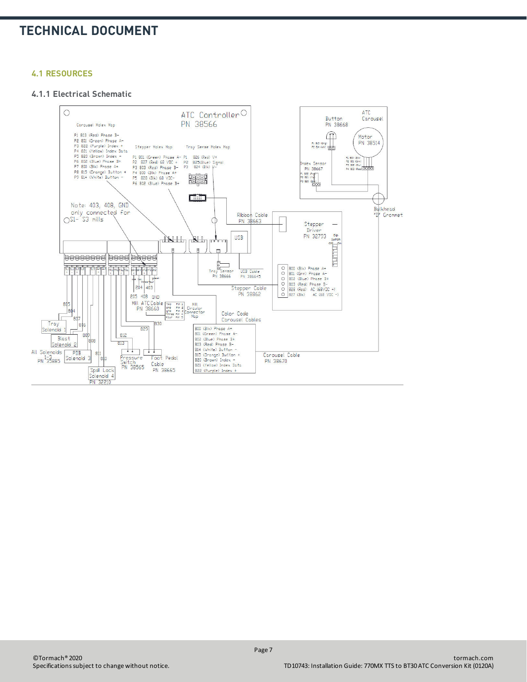#### <span id="page-6-0"></span>**4.1 RESOURCES**

#### **4.1.1 Electrical Schematic**